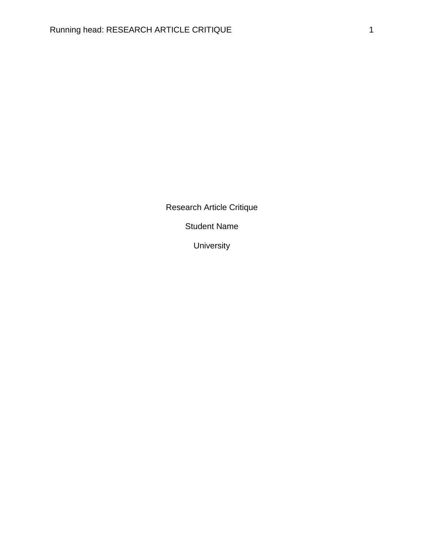Research Article Critique

Student Name

University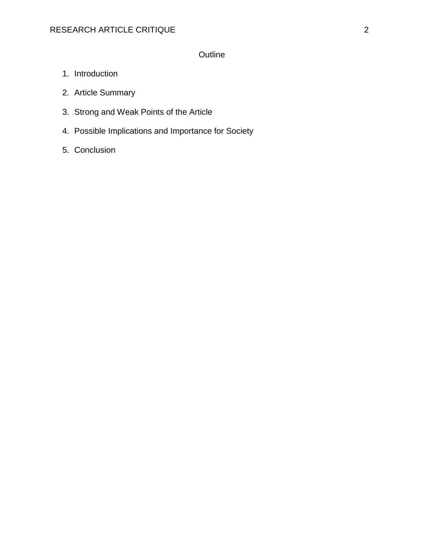# **Outline**

- 1. Introduction
- 2. Article Summary
- 3. Strong and Weak Points of the Article
- 4. Possible Implications and Importance for Society
- 5. Conclusion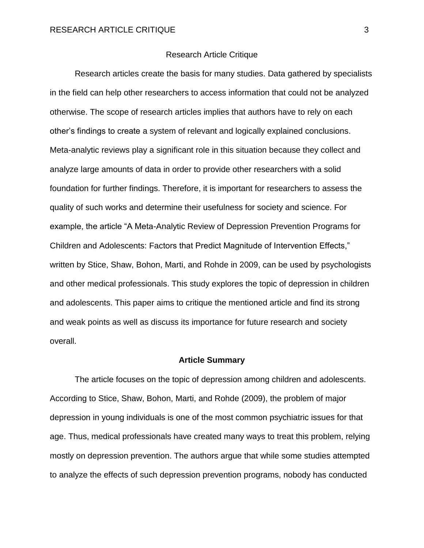#### Research Article Critique

Research articles create the basis for many studies. Data gathered by specialists in the field can help other researchers to access information that could not be analyzed otherwise. The scope of research articles implies that authors have to rely on each other's findings to create a system of relevant and logically explained conclusions. Meta-analytic reviews play a significant role in this situation because they collect and analyze large amounts of data in order to provide other researchers with a solid foundation for further findings. Therefore, it is important for researchers to assess the quality of such works and determine their usefulness for society and science. For example, the article "A Meta-Analytic Review of Depression Prevention Programs for Children and Adolescents: Factors that Predict Magnitude of Intervention Effects," written by Stice, Shaw, Bohon, Marti, and Rohde in 2009, can be used by psychologists and other medical professionals. This study explores the topic of depression in children and adolescents. This paper aims to critique the mentioned article and find its strong and weak points as well as discuss its importance for future research and society overall.

#### **Article Summary**

The article focuses on the topic of depression among children and adolescents. According to Stice, Shaw, Bohon, Marti, and Rohde (2009), the problem of major depression in young individuals is one of the most common psychiatric issues for that age. Thus, medical professionals have created many ways to treat this problem, relying mostly on depression prevention. The authors argue that while some studies attempted to analyze the effects of such depression prevention programs, nobody has conducted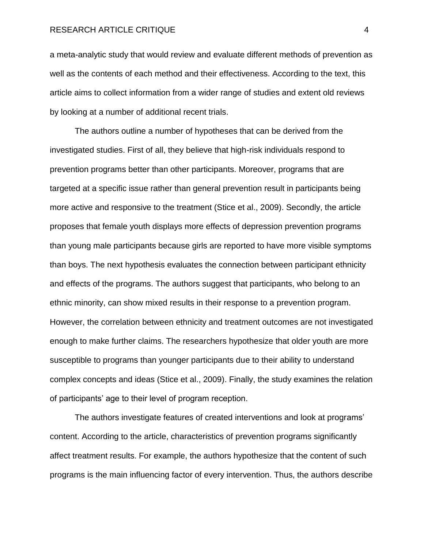a meta-analytic study that would review and evaluate different methods of prevention as well as the contents of each method and their effectiveness. According to the text, this article aims to collect information from a wider range of studies and extent old reviews by looking at a number of additional recent trials.

The authors outline a number of hypotheses that can be derived from the investigated studies. First of all, they believe that high-risk individuals respond to prevention programs better than other participants. Moreover, programs that are targeted at a specific issue rather than general prevention result in participants being more active and responsive to the treatment (Stice et al., 2009). Secondly, the article proposes that female youth displays more effects of depression prevention programs than young male participants because girls are reported to have more visible symptoms than boys. The next hypothesis evaluates the connection between participant ethnicity and effects of the programs. The authors suggest that participants, who belong to an ethnic minority, can show mixed results in their response to a prevention program. However, the correlation between ethnicity and treatment outcomes are not investigated enough to make further claims. The researchers hypothesize that older youth are more susceptible to programs than younger participants due to their ability to understand complex concepts and ideas (Stice et al., 2009). Finally, the study examines the relation of participants' age to their level of program reception.

The authors investigate features of created interventions and look at programs' content. According to the article, characteristics of prevention programs significantly affect treatment results. For example, the authors hypothesize that the content of such programs is the main influencing factor of every intervention. Thus, the authors describe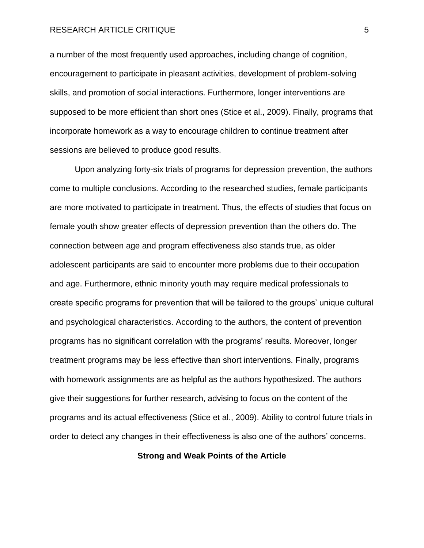a number of the most frequently used approaches, including change of cognition, encouragement to participate in pleasant activities, development of problem-solving skills, and promotion of social interactions. Furthermore, longer interventions are supposed to be more efficient than short ones (Stice et al., 2009). Finally, programs that incorporate homework as a way to encourage children to continue treatment after sessions are believed to produce good results.

Upon analyzing forty-six trials of programs for depression prevention, the authors come to multiple conclusions. According to the researched studies, female participants are more motivated to participate in treatment. Thus, the effects of studies that focus on female youth show greater effects of depression prevention than the others do. The connection between age and program effectiveness also stands true, as older adolescent participants are said to encounter more problems due to their occupation and age. Furthermore, ethnic minority youth may require medical professionals to create specific programs for prevention that will be tailored to the groups' unique cultural and psychological characteristics. According to the authors, the content of prevention programs has no significant correlation with the programs' results. Moreover, longer treatment programs may be less effective than short interventions. Finally, programs with homework assignments are as helpful as the authors hypothesized. The authors give their suggestions for further research, advising to focus on the content of the programs and its actual effectiveness (Stice et al., 2009). Ability to control future trials in order to detect any changes in their effectiveness is also one of the authors' concerns.

### **Strong and Weak Points of the Article**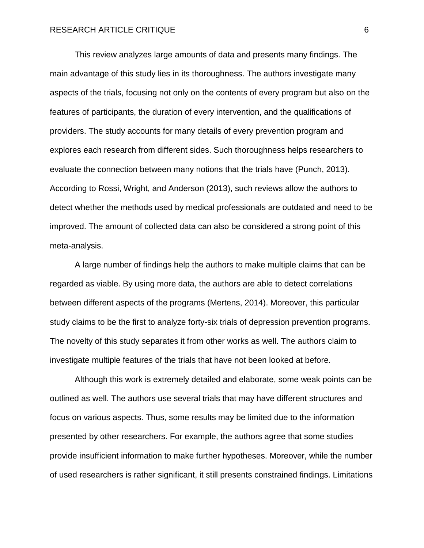This review analyzes large amounts of data and presents many findings. The main advantage of this study lies in its thoroughness. The authors investigate many aspects of the trials, focusing not only on the contents of every program but also on the features of participants, the duration of every intervention, and the qualifications of providers. The study accounts for many details of every prevention program and explores each research from different sides. Such thoroughness helps researchers to evaluate the connection between many notions that the trials have (Punch, 2013). According to Rossi, Wright, and Anderson (2013), such reviews allow the authors to detect whether the methods used by medical professionals are outdated and need to be improved. The amount of collected data can also be considered a strong point of this meta-analysis.

A large number of findings help the authors to make multiple claims that can be regarded as viable. By using more data, the authors are able to detect correlations between different aspects of the programs (Mertens, 2014). Moreover, this particular study claims to be the first to analyze forty-six trials of depression prevention programs. The novelty of this study separates it from other works as well. The authors claim to investigate multiple features of the trials that have not been looked at before.

Although this work is extremely detailed and elaborate, some weak points can be outlined as well. The authors use several trials that may have different structures and focus on various aspects. Thus, some results may be limited due to the information presented by other researchers. For example, the authors agree that some studies provide insufficient information to make further hypotheses. Moreover, while the number of used researchers is rather significant, it still presents constrained findings. Limitations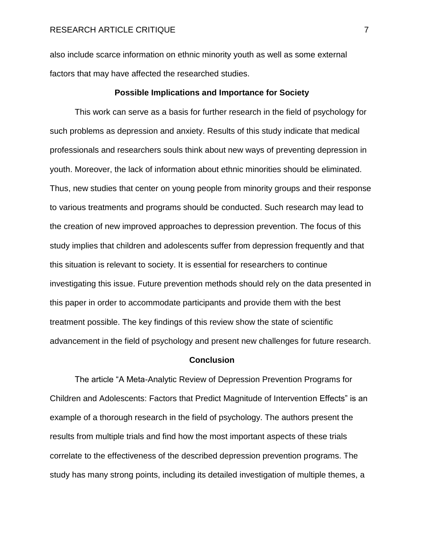also include scarce information on ethnic minority youth as well as some external factors that may have affected the researched studies.

#### **Possible Implications and Importance for Society**

This work can serve as a basis for further research in the field of psychology for such problems as depression and anxiety. Results of this study indicate that medical professionals and researchers souls think about new ways of preventing depression in youth. Moreover, the lack of information about ethnic minorities should be eliminated. Thus, new studies that center on young people from minority groups and their response to various treatments and programs should be conducted. Such research may lead to the creation of new improved approaches to depression prevention. The focus of this study implies that children and adolescents suffer from depression frequently and that this situation is relevant to society. It is essential for researchers to continue investigating this issue. Future prevention methods should rely on the data presented in this paper in order to accommodate participants and provide them with the best treatment possible. The key findings of this review show the state of scientific advancement in the field of psychology and present new challenges for future research.

#### **Conclusion**

The article "A Meta-Analytic Review of Depression Prevention Programs for Children and Adolescents: Factors that Predict Magnitude of Intervention Effects" is an example of a thorough research in the field of psychology. The authors present the results from multiple trials and find how the most important aspects of these trials correlate to the effectiveness of the described depression prevention programs. The study has many strong points, including its detailed investigation of multiple themes, a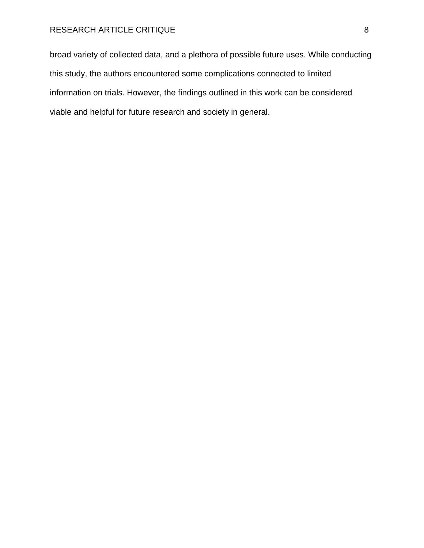broad variety of collected data, and a plethora of possible future uses. While conducting this study, the authors encountered some complications connected to limited information on trials. However, the findings outlined in this work can be considered viable and helpful for future research and society in general.